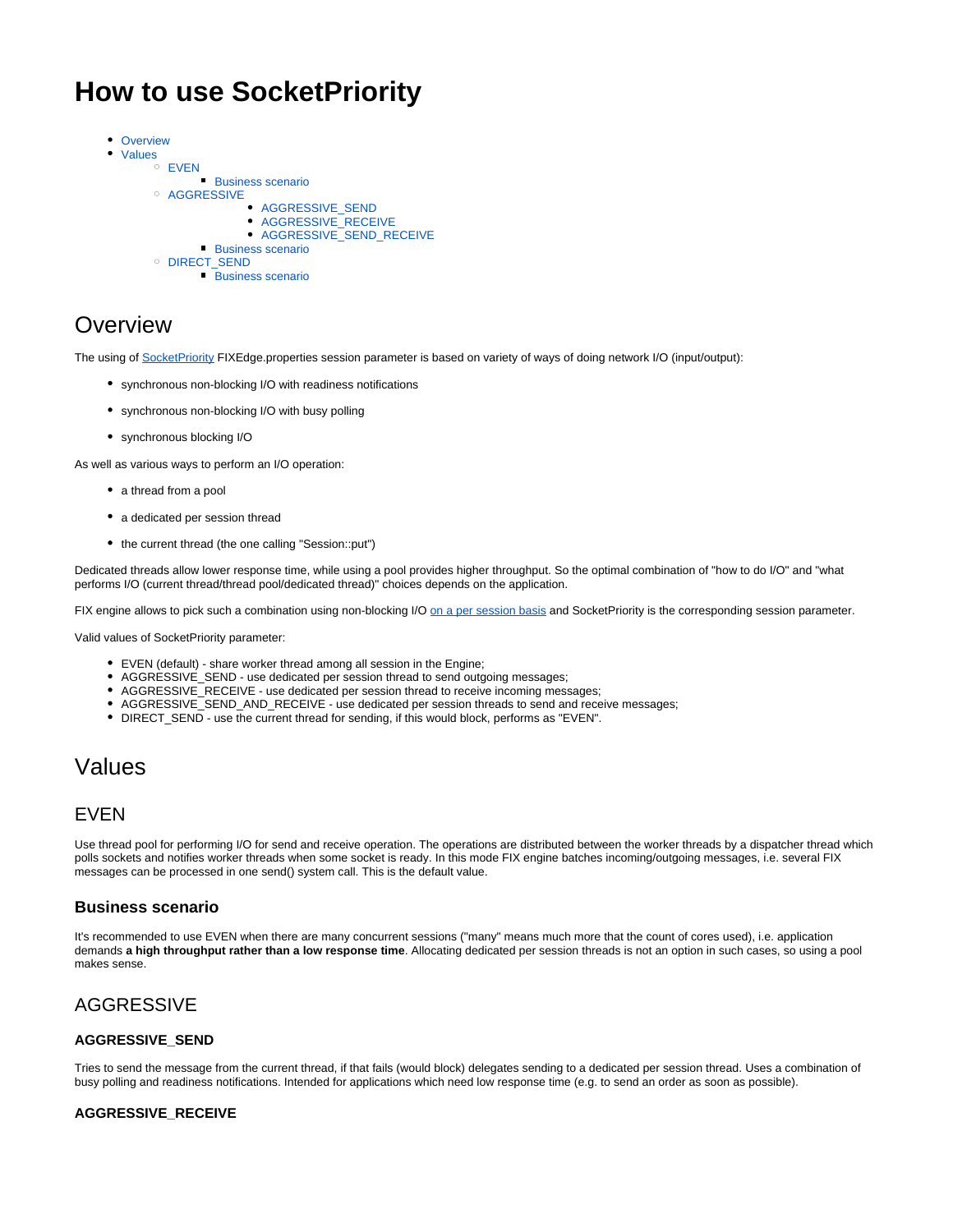# **How to use SocketPriority**

• [Overview](#page-0-0)  $\bullet$ [Values](#page-0-1) **O** FVFN **[Business scenario](#page-0-3) O [AGGRESSIVE](#page-0-4)** • AGGRESSIVE SEND [AGGRESSIVE\\_RECEIVE](#page-0-6) [AGGRESSIVE\\_SEND\\_RECEIVE](#page-1-0) **[Business scenario](#page-1-1)** o [DIRECT\\_SEND](#page-1-2) **[Business scenario](#page-1-3)** 

# <span id="page-0-0"></span>**Overview**

The using of [SocketPriority](https://kb.b2bits.com/display/B2BITS/Configuring+FIX+Sessions#ConfiguringFIXSessions-FixLayer.FixEngine.Session.Session_Name.SocketPriority) FIXEdge.properties session parameter is based on variety of ways of doing network I/O (input/output):

- synchronous non-blocking I/O with readiness notifications
- synchronous non-blocking I/O with busy polling
- synchronous blocking I/O

As well as various ways to perform an I/O operation:

- a thread from a pool
- a dedicated per session thread
- the current thread (the one calling "Session::put")

Dedicated threads allow lower response time, while using a pool provides higher throughput. So the optimal combination of "how to do I/O" and "what performs I/O (current thread/thread pool/dedicated thread)" choices depends on the application.

FIX engine allows to pick such a combination using non-blocking I/O [on a per session basis](https://kb.b2bits.com/display/B2BITS/Configuring+FIX+Sessions) and SocketPriority is the corresponding session parameter.

Valid values of SocketPriority parameter:

- EVEN (default) share worker thread among all session in the Engine;
- AGGRESSIVE\_SEND use dedicated per session thread to send outgoing messages;
- AGGRESSIVE\_RECEIVE use dedicated per session thread to receive incoming messages;
- AGGRESSIVE\_SEND\_AND\_RECEIVE use dedicated per session threads to send and receive messages;
- DIRECT\_SEND use the current thread for sending, if this would block, performs as "EVEN".

# <span id="page-0-1"></span>Values

### <span id="page-0-2"></span>EVEN

Use thread pool for performing I/O for send and receive operation. The operations are distributed between the worker threads by a dispatcher thread which polls sockets and notifies worker threads when some socket is ready. In this mode FIX engine batches incoming/outgoing messages, i.e. several FIX messages can be processed in one send() system call. This is the default value.

#### <span id="page-0-3"></span>**Business scenario**

It's recommended to use EVEN when there are many concurrent sessions ("many" means much more that the count of cores used), i.e. application demands **a high throughput rather than a low response time**. Allocating dedicated per session threads is not an option in such cases, so using a pool makes sense.

### <span id="page-0-4"></span>AGGRESSIVE

#### <span id="page-0-5"></span>**AGGRESSIVE\_SEND**

Tries to send the message from the current thread, if that fails (would block) delegates sending to a dedicated per session thread. Uses a combination of busy polling and readiness notifications. Intended for applications which need low response time (e.g. to send an order as soon as possible).

#### <span id="page-0-6"></span>**AGGRESSIVE\_RECEIVE**